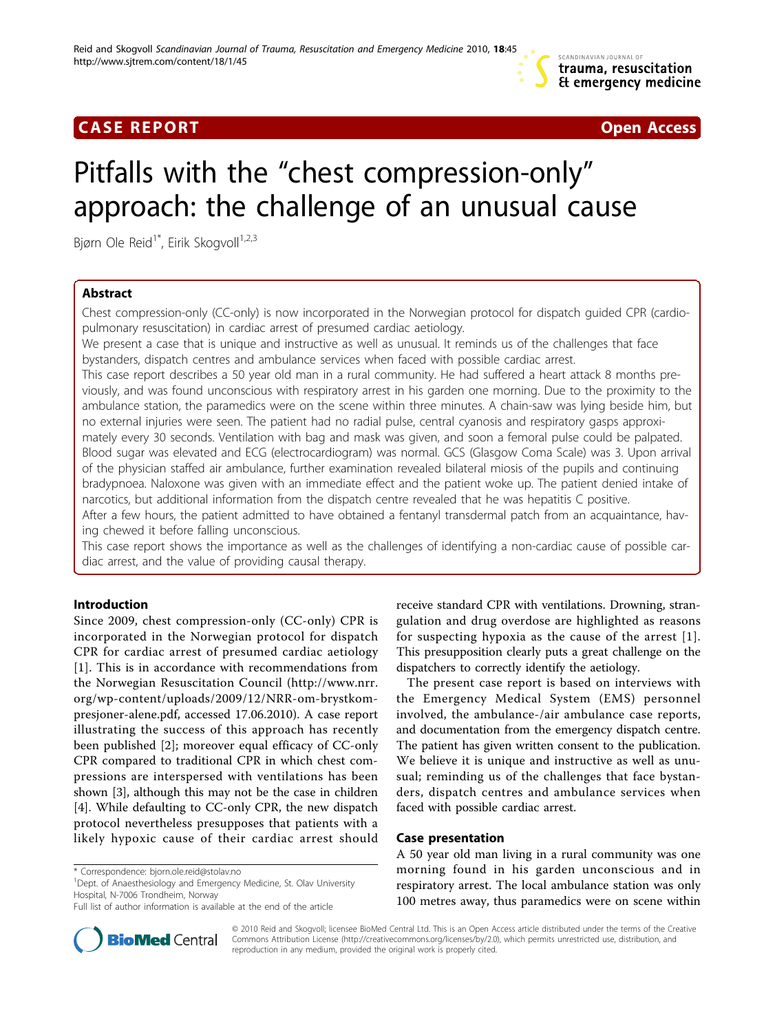

# **CASE REPORT CASE REPORT CASE REPORT**

# Pitfalls with the "chest compression-only" approach: the challenge of an unusual cause

Bjørn Ole Reid<sup>1\*</sup>, Eirik Skogvoll<sup>1,2,3</sup>

# Abstract

Chest compression-only (CC-only) is now incorporated in the Norwegian protocol for dispatch guided CPR (cardiopulmonary resuscitation) in cardiac arrest of presumed cardiac aetiology.

We present a case that is unique and instructive as well as unusual. It reminds us of the challenges that face bystanders, dispatch centres and ambulance services when faced with possible cardiac arrest.

This case report describes a 50 year old man in a rural community. He had suffered a heart attack 8 months previously, and was found unconscious with respiratory arrest in his garden one morning. Due to the proximity to the ambulance station, the paramedics were on the scene within three minutes. A chain-saw was lying beside him, but no external injuries were seen. The patient had no radial pulse, central cyanosis and respiratory gasps approximately every 30 seconds. Ventilation with bag and mask was given, and soon a femoral pulse could be palpated. Blood sugar was elevated and ECG (electrocardiogram) was normal. GCS (Glasgow Coma Scale) was 3. Upon arrival of the physician staffed air ambulance, further examination revealed bilateral miosis of the pupils and continuing bradypnoea. Naloxone was given with an immediate effect and the patient woke up. The patient denied intake of narcotics, but additional information from the dispatch centre revealed that he was hepatitis C positive.

After a few hours, the patient admitted to have obtained a fentanyl transdermal patch from an acquaintance, having chewed it before falling unconscious.

This case report shows the importance as well as the challenges of identifying a non-cardiac cause of possible cardiac arrest, and the value of providing causal therapy.

# Introduction

Since 2009, chest compression-only (CC-only) CPR is incorporated in the Norwegian protocol for dispatch CPR for cardiac arrest of presumed cardiac aetiology [[1](#page-2-0)]. This is in accordance with recommendations from the Norwegian Resuscitation Council ([http://www.nrr.](http://www.nrr.org/wp-content/uploads/2009/12/NRR-om-brystkompresjoner-alene.pdf) [org/wp-content/uploads/2009/12/NRR-om-brystkom](http://www.nrr.org/wp-content/uploads/2009/12/NRR-om-brystkompresjoner-alene.pdf)[presjoner-alene.pdf](http://www.nrr.org/wp-content/uploads/2009/12/NRR-om-brystkompresjoner-alene.pdf), accessed 17.06.2010). A case report illustrating the success of this approach has recently been published [[2\]](#page-2-0); moreover equal efficacy of CC-only CPR compared to traditional CPR in which chest compressions are interspersed with ventilations has been shown [\[3](#page-2-0)], although this may not be the case in children [[4\]](#page-2-0). While defaulting to CC-only CPR, the new dispatch protocol nevertheless presupposes that patients with a likely hypoxic cause of their cardiac arrest should

<sup>1</sup> Dept. of Anaesthesiology and Emergency Medicine, St. Olav University Hospital, N-7006 Trondheim, Norway



The present case report is based on interviews with the Emergency Medical System (EMS) personnel involved, the ambulance-/air ambulance case reports, and documentation from the emergency dispatch centre. The patient has given written consent to the publication. We believe it is unique and instructive as well as unusual; reminding us of the challenges that face bystanders, dispatch centres and ambulance services when faced with possible cardiac arrest.

### Case presentation

A 50 year old man living in a rural community was one morning found in his garden unconscious and in respiratory arrest. The local ambulance station was only 100 metres away, thus paramedics were on scene within



© 2010 Reid and Skogvoll; licensee BioMed Central Ltd. This is an Open Access article distributed under the terms of the Creative Commons Attribution License [\(http://creativecommons.org/licenses/by/2.0](http://creativecommons.org/licenses/by/2.0)), which permits unrestricted use, distribution, and reproduction in any medium, provided the original work is properly cited.

<sup>\*</sup> Correspondence: [bjorn.ole.reid@stolav.no](mailto:bjorn.ole.reid@stolav.no)

Full list of author information is available at the end of the article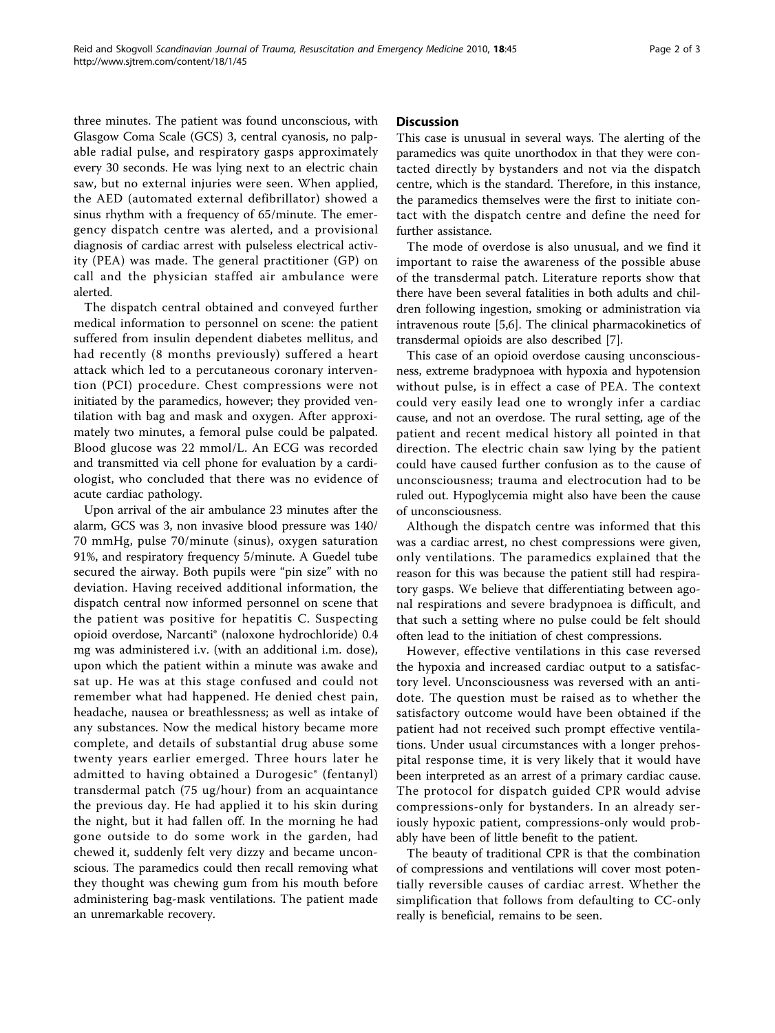three minutes. The patient was found unconscious, with Glasgow Coma Scale (GCS) 3, central cyanosis, no palpable radial pulse, and respiratory gasps approximately every 30 seconds. He was lying next to an electric chain saw, but no external injuries were seen. When applied, the AED (automated external defibrillator) showed a sinus rhythm with a frequency of 65/minute. The emergency dispatch centre was alerted, and a provisional diagnosis of cardiac arrest with pulseless electrical activity (PEA) was made. The general practitioner (GP) on call and the physician staffed air ambulance were alerted.

The dispatch central obtained and conveyed further medical information to personnel on scene: the patient suffered from insulin dependent diabetes mellitus, and had recently (8 months previously) suffered a heart attack which led to a percutaneous coronary intervention (PCI) procedure. Chest compressions were not initiated by the paramedics, however; they provided ventilation with bag and mask and oxygen. After approximately two minutes, a femoral pulse could be palpated. Blood glucose was 22 mmol/L. An ECG was recorded and transmitted via cell phone for evaluation by a cardiologist, who concluded that there was no evidence of acute cardiac pathology.

Upon arrival of the air ambulance 23 minutes after the alarm, GCS was 3, non invasive blood pressure was 140/ 70 mmHg, pulse 70/minute (sinus), oxygen saturation 91%, and respiratory frequency 5/minute. A Guedel tube secured the airway. Both pupils were "pin size" with no deviation. Having received additional information, the dispatch central now informed personnel on scene that the patient was positive for hepatitis C. Suspecting opioid overdose, Narcanti® (naloxone hydrochloride) 0.4 mg was administered i.v. (with an additional i.m. dose), upon which the patient within a minute was awake and sat up. He was at this stage confused and could not remember what had happened. He denied chest pain, headache, nausea or breathlessness; as well as intake of any substances. Now the medical history became more complete, and details of substantial drug abuse some twenty years earlier emerged. Three hours later he admitted to having obtained a Durogesic® (fentanyl) transdermal patch (75 ug/hour) from an acquaintance the previous day. He had applied it to his skin during the night, but it had fallen off. In the morning he had gone outside to do some work in the garden, had chewed it, suddenly felt very dizzy and became unconscious. The paramedics could then recall removing what they thought was chewing gum from his mouth before administering bag-mask ventilations. The patient made an unremarkable recovery.

#### **Discussion**

This case is unusual in several ways. The alerting of the paramedics was quite unorthodox in that they were contacted directly by bystanders and not via the dispatch centre, which is the standard. Therefore, in this instance, the paramedics themselves were the first to initiate contact with the dispatch centre and define the need for further assistance.

The mode of overdose is also unusual, and we find it important to raise the awareness of the possible abuse of the transdermal patch. Literature reports show that there have been several fatalities in both adults and children following ingestion, smoking or administration via intravenous route [[5,6\]](#page-2-0). The clinical pharmacokinetics of transdermal opioids are also described [[7\]](#page-2-0).

This case of an opioid overdose causing unconsciousness, extreme bradypnoea with hypoxia and hypotension without pulse, is in effect a case of PEA. The context could very easily lead one to wrongly infer a cardiac cause, and not an overdose. The rural setting, age of the patient and recent medical history all pointed in that direction. The electric chain saw lying by the patient could have caused further confusion as to the cause of unconsciousness; trauma and electrocution had to be ruled out. Hypoglycemia might also have been the cause of unconsciousness.

Although the dispatch centre was informed that this was a cardiac arrest, no chest compressions were given, only ventilations. The paramedics explained that the reason for this was because the patient still had respiratory gasps. We believe that differentiating between agonal respirations and severe bradypnoea is difficult, and that such a setting where no pulse could be felt should often lead to the initiation of chest compressions.

However, effective ventilations in this case reversed the hypoxia and increased cardiac output to a satisfactory level. Unconsciousness was reversed with an antidote. The question must be raised as to whether the satisfactory outcome would have been obtained if the patient had not received such prompt effective ventilations. Under usual circumstances with a longer prehospital response time, it is very likely that it would have been interpreted as an arrest of a primary cardiac cause. The protocol for dispatch guided CPR would advise compressions-only for bystanders. In an already seriously hypoxic patient, compressions-only would probably have been of little benefit to the patient.

The beauty of traditional CPR is that the combination of compressions and ventilations will cover most potentially reversible causes of cardiac arrest. Whether the simplification that follows from defaulting to CC-only really is beneficial, remains to be seen.